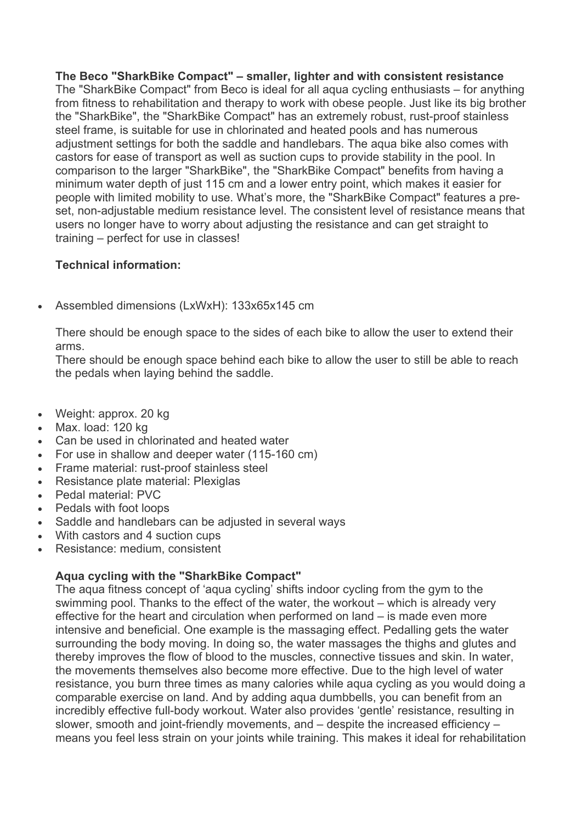## **The Beco "SharkBike Compact" – smaller, lighter and with consistent resistance**

The "SharkBike Compact" from Beco is ideal for all aqua cycling enthusiasts – for anything from fitness to rehabilitation and therapy to work with obese people. Just like its big brother the "SharkBike", the "SharkBike Compact" has an extremely robust, rust-proof stainless steel frame, is suitable for use in chlorinated and heated pools and has numerous adjustment settings for both the saddle and handlebars. The aqua bike also comes with castors for ease of transport as well as suction cups to provide stability in the pool. In comparison to the larger "SharkBike", the "SharkBike Compact" benefits from having a minimum water depth of just 115 cm and a lower entry point, which makes it easier for people with limited mobility to use. What's more, the "SharkBike Compact" features a preset, non-adjustable medium resistance level. The consistent level of resistance means that users no longer have to worry about adjusting the resistance and can get straight to training – perfect for use in classes!

## **Technical information:**

• Assembled dimensions (LxWxH): 133x65x145 cm

There should be enough space to the sides of each bike to allow the user to extend their arms.

There should be enough space behind each bike to allow the user to still be able to reach the pedals when laying behind the saddle.

- Weight: approx. 20 kg
- Max. load: 120 kg
- Can be used in chlorinated and heated water
- For use in shallow and deeper water (115-160 cm)
- Frame material: rust-proof stainless steel
- Resistance plate material: Plexiglas
- Pedal material: PVC
- Pedals with foot loops
- Saddle and handlebars can be adjusted in several ways
- With castors and 4 suction cups
- Resistance: medium, consistent

## **Aqua cycling with the "SharkBike Compact"**

The aqua fitness concept of 'aqua cycling' shifts indoor cycling from the gym to the swimming pool. Thanks to the effect of the water, the workout – which is already very effective for the heart and circulation when performed on land – is made even more intensive and beneficial. One example is the massaging effect. Pedalling gets the water surrounding the body moving. In doing so, the water massages the thighs and glutes and thereby improves the flow of blood to the muscles, connective tissues and skin. In water, the movements themselves also become more effective. Due to the high level of water resistance, you burn three times as many calories while aqua cycling as you would doing a comparable exercise on land. And by adding aqua dumbbells, you can benefit from an incredibly effective full-body workout. Water also provides 'gentle' resistance, resulting in slower, smooth and joint-friendly movements, and – despite the increased efficiency – means you feel less strain on your joints while training. This makes it ideal for rehabilitation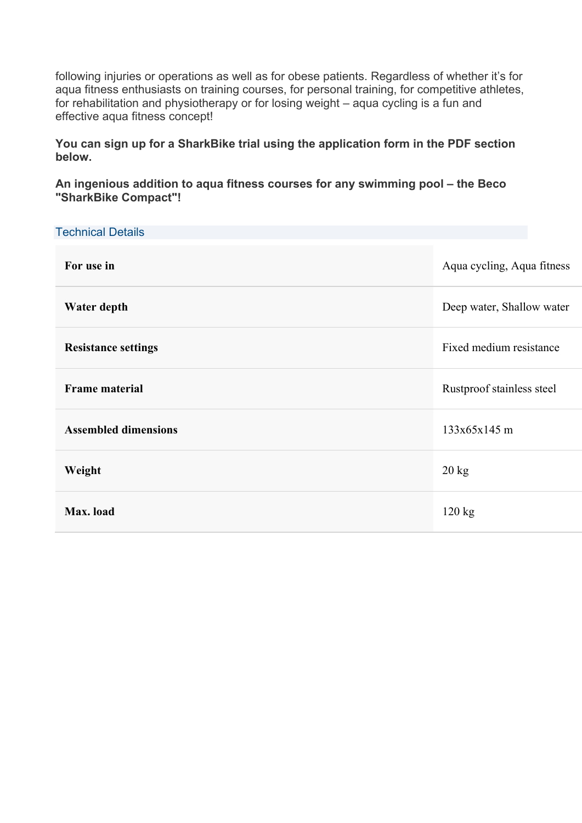following injuries or operations as well as for obese patients. Regardless of whether it's for aqua fitness enthusiasts on training courses, for personal training, for competitive athletes, for rehabilitation and physiotherapy or for losing weight – aqua cycling is a fun and effective aqua fitness concept!

**You can sign up for a SharkBike trial using the application form in the PDF section below.**

**An ingenious addition to aqua fitness courses for any swimming pool – the Beco "SharkBike Compact"!**

| <b>Technical Details</b>    |                            |
|-----------------------------|----------------------------|
| For use in                  | Aqua cycling, Aqua fitness |
| Water depth                 | Deep water, Shallow water  |
| <b>Resistance settings</b>  | Fixed medium resistance    |
| <b>Frame material</b>       | Rustproof stainless steel  |
| <b>Assembled dimensions</b> | 133x65x145 m               |
| Weight                      | $20 \text{ kg}$            |
| Max. load                   | $120 \text{ kg}$           |